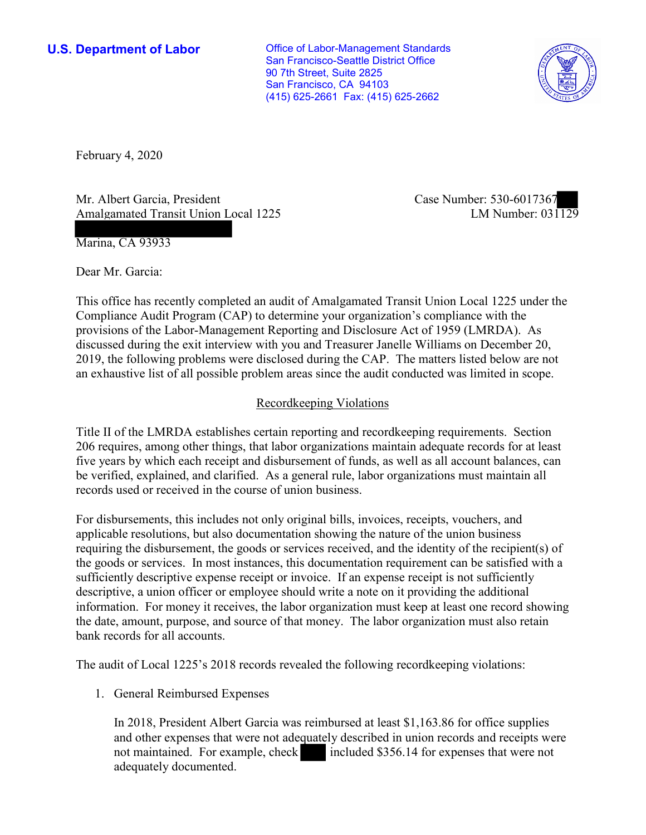**U.S. Department of Labor Conservative Conservative Conservative Conservative U.S.** Department of Labor San Francisco-Seattle District Office 90 7th Street, Suite 2825 San Francisco, CA 94103 (415) 625-2661 Fax: (415) 625-2662



February 4, 2020

Mr. Albert Garcia, President Amalgamated Transit Union Local 1225 Case Number: 530-6017367<br>LM Number: 031129

Marina, CA 93933

Dear Mr. Garcia:

 This office has recently completed an audit of Amalgamated Transit Union Local 1225 under the Compliance Audit Program (CAP) to determine your organization's compliance with the provisions of the Labor-Management Reporting and Disclosure Act of 1959 (LMRDA). As discussed during the exit interview with you and Treasurer Janelle Williams on December 20, 2019, the following problems were disclosed during the CAP. The matters listed below are not an exhaustive list of all possible problem areas since the audit conducted was limited in scope.

## Recordkeeping Violations

 Title II of the LMRDA establishes certain reporting and recordkeeping requirements. Section 206 requires, among other things, that labor organizations maintain adequate records for at least five years by which each receipt and disbursement of funds, as well as all account balances, can be verified, explained, and clarified. As a general rule, labor organizations must maintain all records used or received in the course of union business.

 the date, amount, purpose, and source of that money. The labor organization must also retain For disbursements, this includes not only original bills, invoices, receipts, vouchers, and applicable resolutions, but also documentation showing the nature of the union business requiring the disbursement, the goods or services received, and the identity of the recipient(s) of the goods or services. In most instances, this documentation requirement can be satisfied with a sufficiently descriptive expense receipt or invoice. If an expense receipt is not sufficiently descriptive, a union officer or employee should write a note on it providing the additional information. For money it receives, the labor organization must keep at least one record showing bank records for all accounts.

The audit of Local 1225's 2018 records revealed the following recordkeeping violations:

1. General Reimbursed Expenses

s reim<br>quate In 2018, President Albert Garcia was reimbursed at least \$[1,163.86](https://1,163.86) for office supplies and other expenses that were not adequately described in union records and receipts were not maintained. For example, check included \$356.14 for expenses that were not adequately documented.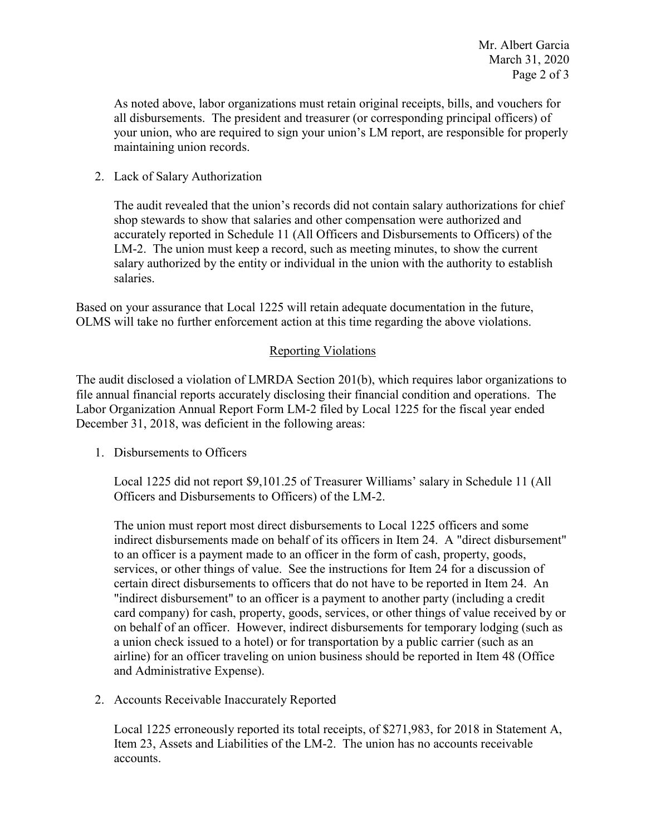all disbursements. The president and treasurer (or corresponding principal officers) of As noted above, labor organizations must retain original receipts, bills, and vouchers for your union, who are required to sign your union's LM report, are responsible for properly maintaining union records.

2. Lack of Salary Authorization

 shop stewards to show that salaries and other compensation were authorized and accurately reported in Schedule 11 (All Officers and Disbursements to Officers) of the salary authorized by the entity or individual in the union with the authority to establish The audit revealed that the union's records did not contain salary authorizations for chief LM-2. The union must keep a record, such as meeting minutes, to show the current salaries.

 Based on your assurance that Local 1225 will retain adequate documentation in the future, OLMS will take no further enforcement action at this time regarding the above violations.

## Reporting Violations

 Labor Organization Annual Report Form LM-2 filed by Local 1225 for the fiscal year ended December 31, 2018, was deficient in the following areas: 1. Disbursements to Officers The audit disclosed a violation of LMRDA Section 201(b), which requires labor organizations to file annual financial reports accurately disclosing their financial condition and operations. The

 Local 1225 did not report \$[9,101.25](https://9,101.25) of Treasurer Williams' salary in Schedule 11 (All Officers and Disbursements to Officers) of the LM-2.

 The union must report most direct disbursements to Local 1225 officers and some services, or other things of value. See the instructions for Item 24 for a discussion of card company) for cash, property, goods, services, or other things of value received by or a union check issued to a hotel) or for transportation by a public carrier (such as an indirect disbursements made on behalf of its officers in Item 24. A "direct disbursement" to an officer is a payment made to an officer in the form of cash, property, goods, certain direct disbursements to officers that do not have to be reported in Item 24. An "indirect disbursement" to an officer is a payment to another party (including a credit on behalf of an officer. However, indirect disbursements for temporary lodging (such as airline) for an officer traveling on union business should be reported in Item 48 (Office and Administrative Expense).

2. Accounts Receivable Inaccurately Reported

 Local 1225 erroneously reported its total receipts, of \$271,983, for 2018 in Statement A, Item 23, Assets and Liabilities of the LM-2. The union has no accounts receivable accounts.